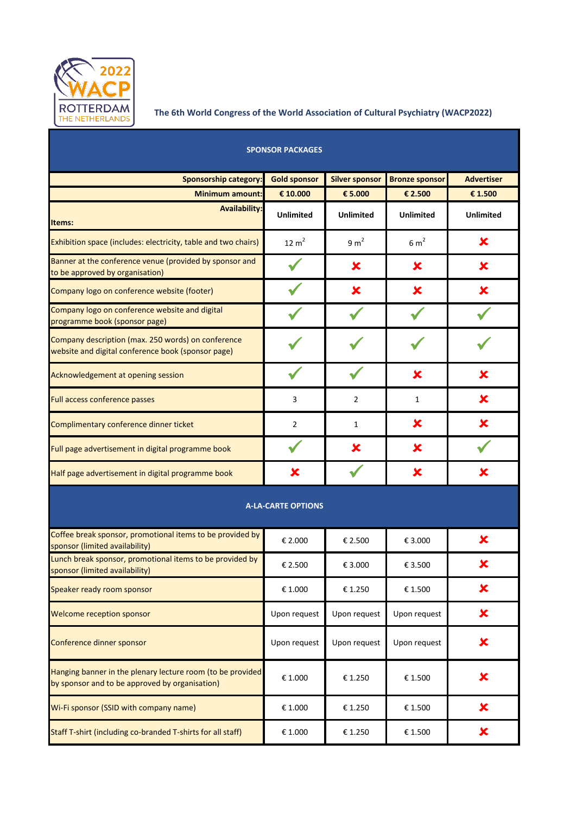

## **The 6th World Congress of the World Association of Cultural Psychiatry (WACP2022)**

| <b>SPONSOR PACKAGES</b>                                                                                      |                           |                       |                       |                   |  |  |
|--------------------------------------------------------------------------------------------------------------|---------------------------|-----------------------|-----------------------|-------------------|--|--|
| <b>Sponsorship category:</b>                                                                                 | <b>Gold sponsor</b>       | <b>Silver sponsor</b> | <b>Bronze sponsor</b> | <b>Advertiser</b> |  |  |
| <b>Minimum amount:</b>                                                                                       | € 10.000                  | € 5.000               | € 2.500               | € 1.500           |  |  |
| <b>Availability:</b><br>Items:                                                                               | <b>Unlimited</b>          | <b>Unlimited</b>      | <b>Unlimited</b>      | <b>Unlimited</b>  |  |  |
| Exhibition space (includes: electricity, table and two chairs)                                               | $12 \text{ m}^2$          | 9 m <sup>2</sup>      | 6 m <sup>2</sup>      | ×                 |  |  |
| Banner at the conference venue (provided by sponsor and<br>to be approved by organisation)                   |                           | X                     | X                     | ×                 |  |  |
| Company logo on conference website (footer)                                                                  |                           | ×                     | X                     | X                 |  |  |
| Company logo on conference website and digital<br>programme book (sponsor page)                              |                           |                       |                       |                   |  |  |
| Company description (max. 250 words) on conference<br>website and digital conference book (sponsor page)     |                           |                       |                       |                   |  |  |
| Acknowledgement at opening session                                                                           |                           |                       | ×                     | x                 |  |  |
| Full access conference passes                                                                                | 3                         | $\overline{2}$        | $\mathbf{1}$          | ×                 |  |  |
| Complimentary conference dinner ticket                                                                       | 2                         | 1                     | ×                     | x                 |  |  |
| Full page advertisement in digital programme book                                                            |                           | ×                     | ×                     |                   |  |  |
| Half page advertisement in digital programme book                                                            | ×                         |                       | ×                     | ×                 |  |  |
|                                                                                                              | <b>A-LA-CARTE OPTIONS</b> |                       |                       |                   |  |  |
| Coffee break sponsor, promotional items to be provided by<br>sponsor (limited availability)                  | € 2.000                   | € 2.500               | € 3.000               | X                 |  |  |
| Lunch break sponsor, promotional items to be provided by<br>sponsor (limited availability)                   | € 2.500                   | € 3.000               | € 3.500               | ×                 |  |  |
| Speaker ready room sponsor                                                                                   | € 1.000                   | €1.250                | € 1.500               | ×                 |  |  |
| <b>Welcome reception sponsor</b>                                                                             | Upon request              | Upon request          | Upon request          | ×                 |  |  |
| Conference dinner sponsor                                                                                    | Upon request              | Upon request          | Upon request          | ×                 |  |  |
| Hanging banner in the plenary lecture room (to be provided<br>by sponsor and to be approved by organisation) | € 1.000                   | € 1.250               | € 1.500               | ×                 |  |  |
| Wi-Fi sponsor (SSID with company name)                                                                       | € 1.000                   | €1.250                | € 1.500               | ×                 |  |  |
| Staff T-shirt (including co-branded T-shirts for all staff)                                                  | € 1.000                   | €1.250                | € 1.500               | ×                 |  |  |